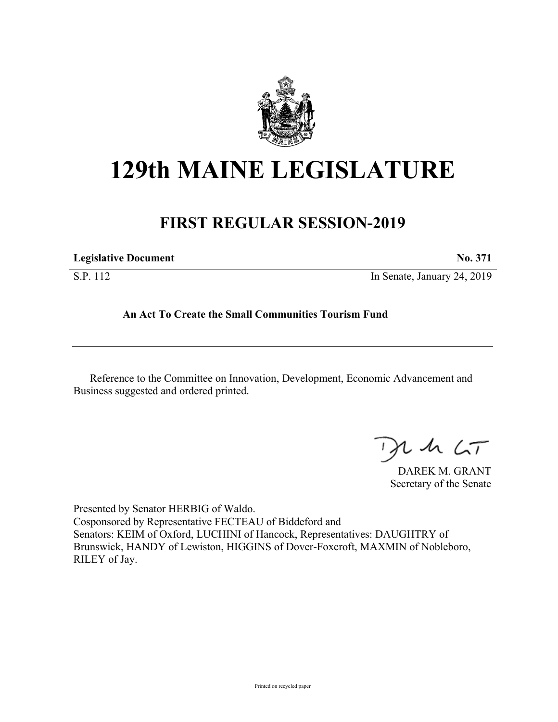

## **129th MAINE LEGISLATURE**

## **FIRST REGULAR SESSION-2019**

| <b>Legislative Document</b> | ----- | -- | ------- |
|-----------------------------|-------|----|---------|
|                             |       |    |         |

S.P. 112 In Senate, January 24, 2019

## **An Act To Create the Small Communities Tourism Fund**

Reference to the Committee on Innovation, Development, Economic Advancement and Business suggested and ordered printed.

 $1157$ 

DAREK M. GRANT Secretary of the Senate

Presented by Senator HERBIG of Waldo. Cosponsored by Representative FECTEAU of Biddeford and Senators: KEIM of Oxford, LUCHINI of Hancock, Representatives: DAUGHTRY of Brunswick, HANDY of Lewiston, HIGGINS of Dover-Foxcroft, MAXMIN of Nobleboro, RILEY of Jay.